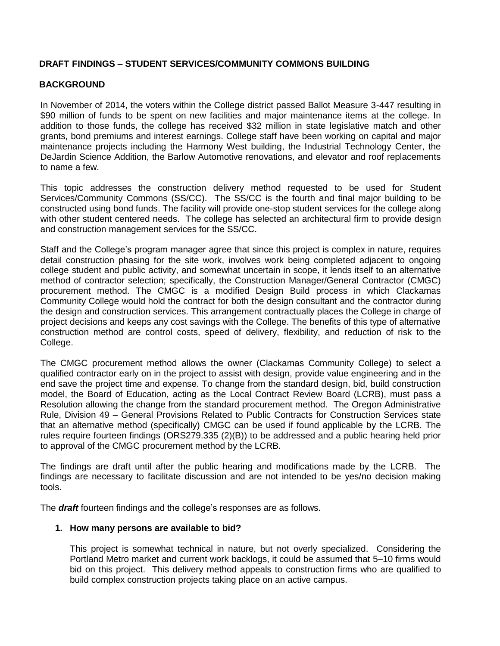## **DRAFT FINDINGS – STUDENT SERVICES/COMMUNITY COMMONS BUILDING**

# **BACKGROUND**

In November of 2014, the voters within the College district passed Ballot Measure 3-447 resulting in \$90 million of funds to be spent on new facilities and major maintenance items at the college. In addition to those funds, the college has received \$32 million in state legislative match and other grants, bond premiums and interest earnings. College staff have been working on capital and major maintenance projects including the Harmony West building, the Industrial Technology Center, the DeJardin Science Addition, the Barlow Automotive renovations, and elevator and roof replacements to name a few.

This topic addresses the construction delivery method requested to be used for Student Services/Community Commons (SS/CC). The SS/CC is the fourth and final major building to be constructed using bond funds. The facility will provide one-stop student services for the college along with other student centered needs. The college has selected an architectural firm to provide design and construction management services for the SS/CC.

Staff and the College's program manager agree that since this project is complex in nature, requires detail construction phasing for the site work, involves work being completed adjacent to ongoing college student and public activity, and somewhat uncertain in scope, it lends itself to an alternative method of contractor selection; specifically, the Construction Manager/General Contractor (CMGC) procurement method. The CMGC is a modified Design Build process in which Clackamas Community College would hold the contract for both the design consultant and the contractor during the design and construction services. This arrangement contractually places the College in charge of project decisions and keeps any cost savings with the College. The benefits of this type of alternative construction method are control costs, speed of delivery, flexibility, and reduction of risk to the College.

The CMGC procurement method allows the owner (Clackamas Community College) to select a qualified contractor early on in the project to assist with design, provide value engineering and in the end save the project time and expense. To change from the standard design, bid, build construction model, the Board of Education, acting as the Local Contract Review Board (LCRB), must pass a Resolution allowing the change from the standard procurement method. The Oregon Administrative Rule, Division 49 – General Provisions Related to Public Contracts for Construction Services state that an alternative method (specifically) CMGC can be used if found applicable by the LCRB. The rules require fourteen findings (ORS279.335 (2)(B)) to be addressed and a public hearing held prior to approval of the CMGC procurement method by the LCRB.

The findings are draft until after the public hearing and modifications made by the LCRB. The findings are necessary to facilitate discussion and are not intended to be yes/no decision making tools.

The *draft* fourteen findings and the college's responses are as follows.

#### **1. How many persons are available to bid?**

This project is somewhat technical in nature, but not overly specialized. Considering the Portland Metro market and current work backlogs, it could be assumed that 5–10 firms would bid on this project. This delivery method appeals to construction firms who are qualified to build complex construction projects taking place on an active campus.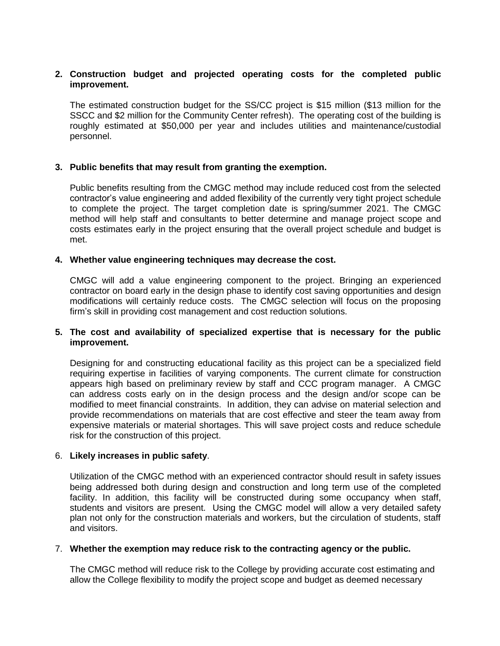## **2. Construction budget and projected operating costs for the completed public improvement.**

The estimated construction budget for the SS/CC project is \$15 million (\$13 million for the SSCC and \$2 million for the Community Center refresh). The operating cost of the building is roughly estimated at \$50,000 per year and includes utilities and maintenance/custodial personnel.

## **3. Public benefits that may result from granting the exemption.**

Public benefits resulting from the CMGC method may include reduced cost from the selected contractor's value engineering and added flexibility of the currently very tight project schedule to complete the project. The target completion date is spring/summer 2021. The CMGC method will help staff and consultants to better determine and manage project scope and costs estimates early in the project ensuring that the overall project schedule and budget is met.

#### **4. Whether value engineering techniques may decrease the cost.**

CMGC will add a value engineering component to the project. Bringing an experienced contractor on board early in the design phase to identify cost saving opportunities and design modifications will certainly reduce costs. The CMGC selection will focus on the proposing firm's skill in providing cost management and cost reduction solutions.

## **5. The cost and availability of specialized expertise that is necessary for the public improvement.**

Designing for and constructing educational facility as this project can be a specialized field requiring expertise in facilities of varying components. The current climate for construction appears high based on preliminary review by staff and CCC program manager. A CMGC can address costs early on in the design process and the design and/or scope can be modified to meet financial constraints. In addition, they can advise on material selection and provide recommendations on materials that are cost effective and steer the team away from expensive materials or material shortages. This will save project costs and reduce schedule risk for the construction of this project.

## 6. **Likely increases in public safety**.

Utilization of the CMGC method with an experienced contractor should result in safety issues being addressed both during design and construction and long term use of the completed facility. In addition, this facility will be constructed during some occupancy when staff, students and visitors are present. Using the CMGC model will allow a very detailed safety plan not only for the construction materials and workers, but the circulation of students, staff and visitors.

#### 7. **Whether the exemption may reduce risk to the contracting agency or the public.**

The CMGC method will reduce risk to the College by providing accurate cost estimating and allow the College flexibility to modify the project scope and budget as deemed necessary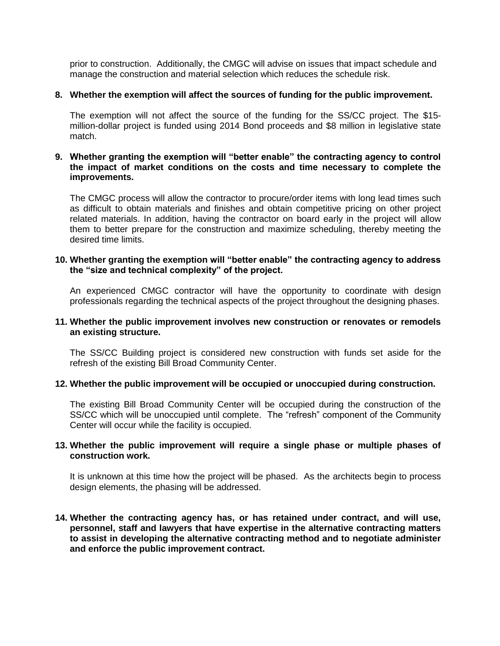prior to construction. Additionally, the CMGC will advise on issues that impact schedule and manage the construction and material selection which reduces the schedule risk.

## **8. Whether the exemption will affect the sources of funding for the public improvement.**

The exemption will not affect the source of the funding for the SS/CC project. The \$15 million-dollar project is funded using 2014 Bond proceeds and \$8 million in legislative state match.

## **9. Whether granting the exemption will "better enable" the contracting agency to control the impact of market conditions on the costs and time necessary to complete the improvements.**

The CMGC process will allow the contractor to procure/order items with long lead times such as difficult to obtain materials and finishes and obtain competitive pricing on other project related materials. In addition, having the contractor on board early in the project will allow them to better prepare for the construction and maximize scheduling, thereby meeting the desired time limits.

## **10. Whether granting the exemption will "better enable" the contracting agency to address the "size and technical complexity" of the project.**

An experienced CMGC contractor will have the opportunity to coordinate with design professionals regarding the technical aspects of the project throughout the designing phases.

#### **11. Whether the public improvement involves new construction or renovates or remodels an existing structure.**

The SS/CC Building project is considered new construction with funds set aside for the refresh of the existing Bill Broad Community Center.

#### **12. Whether the public improvement will be occupied or unoccupied during construction.**

The existing Bill Broad Community Center will be occupied during the construction of the SS/CC which will be unoccupied until complete. The "refresh" component of the Community Center will occur while the facility is occupied.

#### **13. Whether the public improvement will require a single phase or multiple phases of construction work.**

It is unknown at this time how the project will be phased. As the architects begin to process design elements, the phasing will be addressed.

**14. Whether the contracting agency has, or has retained under contract, and will use, personnel, staff and lawyers that have expertise in the alternative contracting matters to assist in developing the alternative contracting method and to negotiate administer and enforce the public improvement contract.**